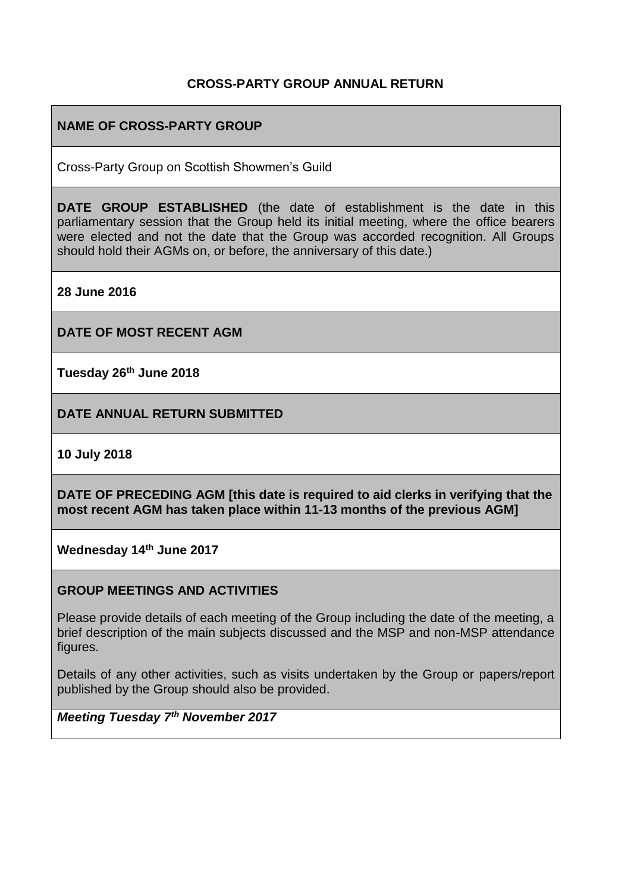## **CROSS-PARTY GROUP ANNUAL RETURN**

# **NAME OF CROSS-PARTY GROUP**

Cross-Party Group on Scottish Showmen's Guild

**DATE GROUP ESTABLISHED** (the date of establishment is the date in this parliamentary session that the Group held its initial meeting, where the office bearers were elected and not the date that the Group was accorded recognition. All Groups should hold their AGMs on, or before, the anniversary of this date.)

**28 June 2016**

**DATE OF MOST RECENT AGM**

**Tuesday 26th June 2018**

**DATE ANNUAL RETURN SUBMITTED**

**10 July 2018**

**DATE OF PRECEDING AGM [this date is required to aid clerks in verifying that the most recent AGM has taken place within 11-13 months of the previous AGM]**

**Wednesday 14th June 2017**

#### **GROUP MEETINGS AND ACTIVITIES**

Please provide details of each meeting of the Group including the date of the meeting, a brief description of the main subjects discussed and the MSP and non-MSP attendance figures.

Details of any other activities, such as visits undertaken by the Group or papers/report published by the Group should also be provided.

*Meeting Tuesday 7th November 2017*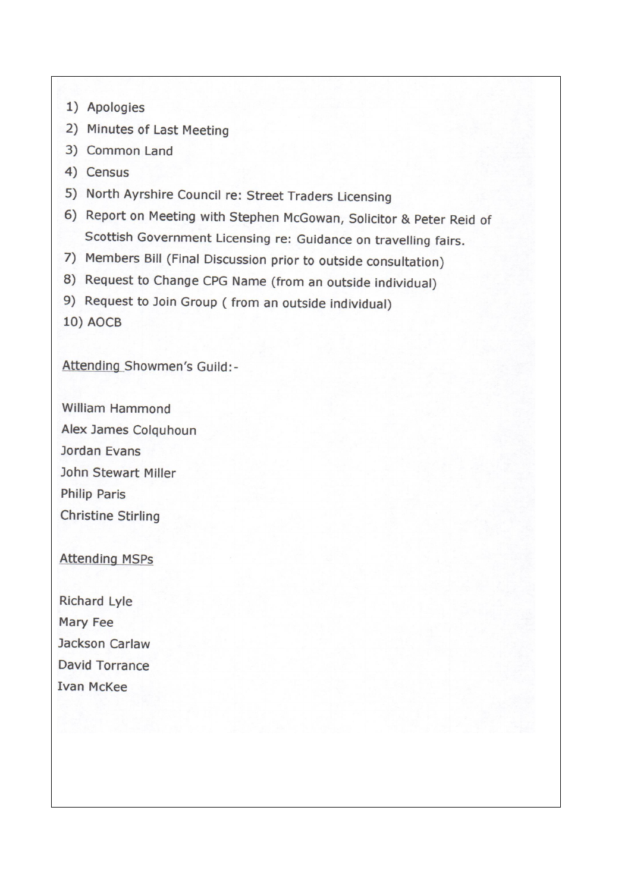- 1) Apologies
- 2) Minutes of Last Meeting
- 3) Common Land
- 4) Census
- 5) North Ayrshire Council re: Street Traders Licensing
- 6) Report on Meeting with Stephen McGowan, Solicitor & Peter Reid of Scottish Government Licensing re: Guidance on travelling fairs.
- 7) Members Bill (Final Discussion prior to outside consultation)
- 8) Request to Change CPG Name (from an outside individual)
- 9) Request to Join Group (from an outside individual)
- **10) AOCB**

Attending Showmen's Guild:-

William Hammond Alex James Colguhoun Jordan Evans John Stewart Miller **Philip Paris Christine Stirling** 

# **Attending MSPs**

**Richard Lyle** Mary Fee Jackson Carlaw **David Torrance Ivan McKee**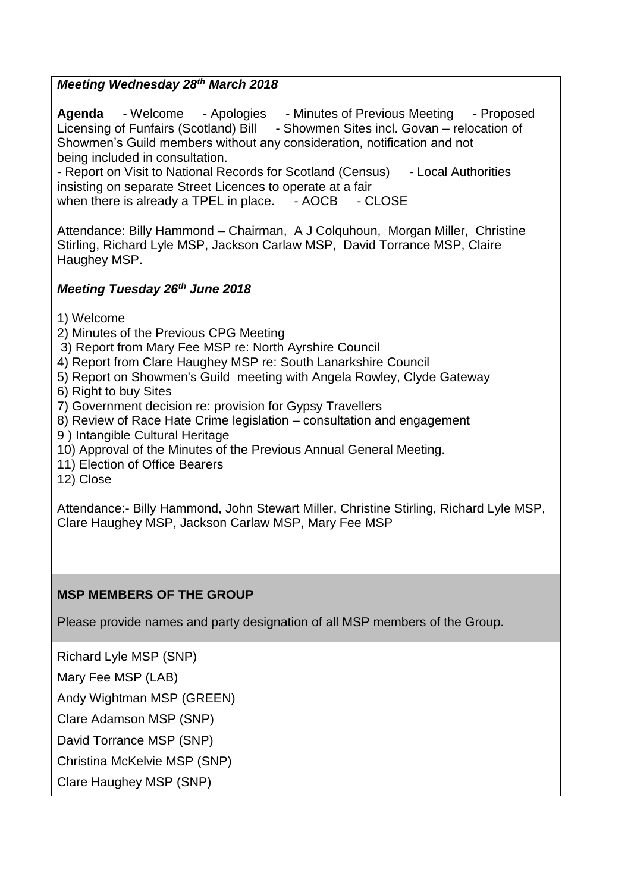# *Meeting Wednesday 28th March 2018*

Agenda - Welcome - Apologies - Minutes of Previous Meeting - Proposed Licensing of Funfairs (Scotland) Bill - Showmen Sites incl. Govan – relocation of Showmen's Guild members without any consideration, notification and not being included in consultation.

- Report on Visit to National Records for Scotland (Census) - Local Authorities insisting on separate Street Licences to operate at a fair when there is already a TPEL in place. - AOCB - CLOSE

Attendance: Billy Hammond – Chairman, A J Colquhoun, Morgan Miller, Christine Stirling, Richard Lyle MSP, Jackson Carlaw MSP, David Torrance MSP, Claire Haughey MSP.

#### *Meeting Tuesday 26th June 2018*

1) Welcome

- 2) Minutes of the Previous CPG Meeting
- 3) Report from Mary Fee MSP re: North Ayrshire Council
- 4) Report from Clare Haughey MSP re: South Lanarkshire Council
- 5) Report on Showmen's Guild meeting with Angela Rowley, Clyde Gateway
- 6) Right to buy Sites
- 7) Government decision re: provision for Gypsy Travellers
- 8) Review of Race Hate Crime legislation consultation and engagement
- 9 ) Intangible Cultural Heritage
- 10) Approval of the Minutes of the Previous Annual General Meeting.
- 11) Election of Office Bearers
- 12) Close

Attendance:- Billy Hammond, John Stewart Miller, Christine Stirling, Richard Lyle MSP, Clare Haughey MSP, Jackson Carlaw MSP, Mary Fee MSP

# **MSP MEMBERS OF THE GROUP**

Please provide names and party designation of all MSP members of the Group.

Richard Lyle MSP (SNP)

Mary Fee MSP (LAB)

Andy Wightman MSP (GREEN)

Clare Adamson MSP (SNP)

David Torrance MSP (SNP)

Christina McKelvie MSP (SNP)

Clare Haughey MSP (SNP)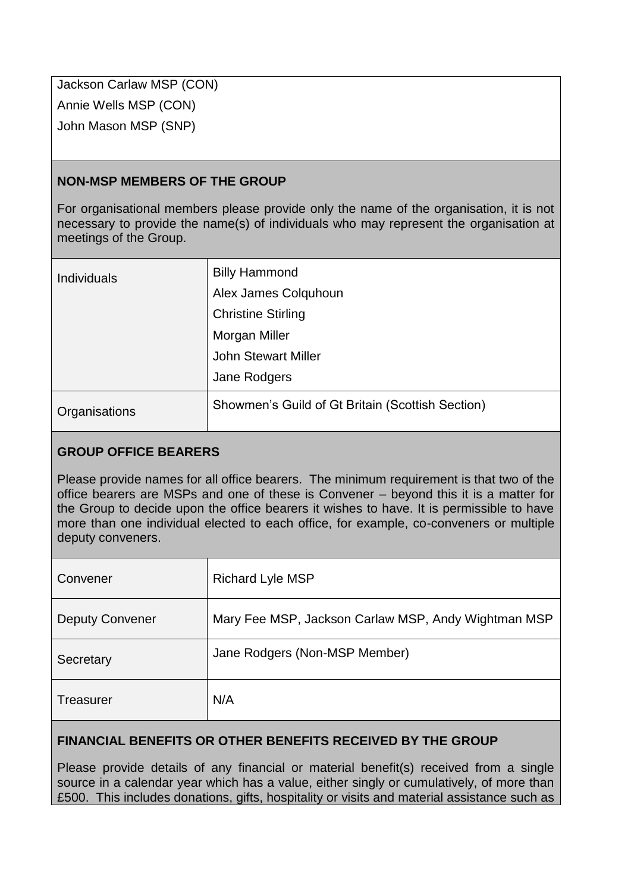Jackson Carlaw MSP (CON) Annie Wells MSP (CON) John Mason MSP (SNP)

# **NON-MSP MEMBERS OF THE GROUP**

For organisational members please provide only the name of the organisation, it is not necessary to provide the name(s) of individuals who may represent the organisation at meetings of the Group.

| <b>Individuals</b> | <b>Billy Hammond</b>                             |
|--------------------|--------------------------------------------------|
|                    | Alex James Colquhoun                             |
|                    | <b>Christine Stirling</b>                        |
|                    | Morgan Miller                                    |
|                    | <b>John Stewart Miller</b>                       |
|                    | Jane Rodgers                                     |
| Organisations      | Showmen's Guild of Gt Britain (Scottish Section) |

# **GROUP OFFICE BEARERS**

Please provide names for all office bearers. The minimum requirement is that two of the office bearers are MSPs and one of these is Convener – beyond this it is a matter for the Group to decide upon the office bearers it wishes to have. It is permissible to have more than one individual elected to each office, for example, co-conveners or multiple deputy conveners.

| Convener               | <b>Richard Lyle MSP</b>                             |
|------------------------|-----------------------------------------------------|
| <b>Deputy Convener</b> | Mary Fee MSP, Jackson Carlaw MSP, Andy Wightman MSP |
| Secretary              | Jane Rodgers (Non-MSP Member)                       |
| Treasurer              | N/A                                                 |

# **FINANCIAL BENEFITS OR OTHER BENEFITS RECEIVED BY THE GROUP**

Please provide details of any financial or material benefit(s) received from a single source in a calendar year which has a value, either singly or cumulatively, of more than £500. This includes donations, gifts, hospitality or visits and material assistance such as